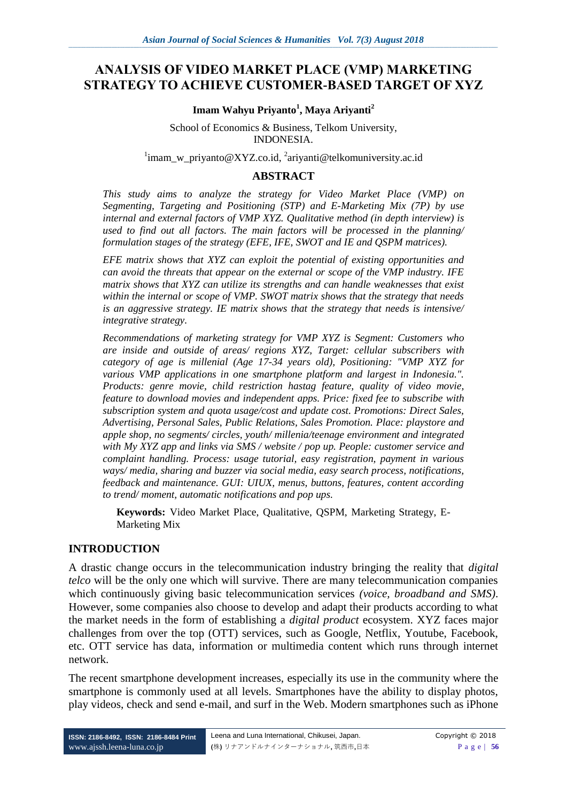# **ANALYSIS OF VIDEO MARKET PLACE (VMP) MARKETING STRATEGY TO ACHIEVE CUSTOMER-BASED TARGET OF XYZ**

#### **Imam Wahyu Priyanto<sup>1</sup> , Maya Ariyanti<sup>2</sup>**

School of Economics & Business, Telkom University, INDONESIA.

<sup>1</sup>imam\_w\_priyanto@XYZ.co.id, <sup>2</sup>ariyanti@telkomuniversity.ac.id

#### **ABSTRACT**

*This study aims to analyze the strategy for Video Market Place (VMP) on Segmenting, Targeting and Positioning (STP) and E-Marketing Mix (7P) by use internal and external factors of VMP XYZ. Qualitative method (in depth interview) is used to find out all factors. The main factors will be processed in the planning/ formulation stages of the strategy (EFE, IFE, SWOT and IE and QSPM matrices).*

*EFE matrix shows that XYZ can exploit the potential of existing opportunities and can avoid the threats that appear on the external or scope of the VMP industry. IFE matrix shows that XYZ can utilize its strengths and can handle weaknesses that exist within the internal or scope of VMP. SWOT matrix shows that the strategy that needs is an aggressive strategy. IE matrix shows that the strategy that needs is intensive/ integrative strategy.*

*Recommendations of marketing strategy for VMP XYZ is Segment: Customers who are inside and outside of areas/ regions XYZ, Target: cellular subscribers with category of age is millenial (Age 17-34 years old), Positioning: "VMP XYZ for various VMP applications in one smartphone platform and largest in Indonesia.". Products: genre movie, child restriction hastag feature, quality of video movie, feature to download movies and independent apps. Price: fixed fee to subscribe with subscription system and quota usage/cost and update cost. Promotions: Direct Sales, Advertising, Personal Sales, Public Relations, Sales Promotion. Place: playstore and apple shop, no segments/ circles, youth/ millenia/teenage environment and integrated with My XYZ app and links via SMS / website / pop up. People: customer service and complaint handling. Process: usage tutorial, easy registration, payment in various ways/ media, sharing and buzzer via social media, easy search process, notifications, feedback and maintenance. GUI: UIUX, menus, buttons, features, content according to trend/ moment, automatic notifications and pop ups.*

**Keywords:** Video Market Place, Qualitative, QSPM, Marketing Strategy, E-Marketing Mix

#### **INTRODUCTION**

A drastic change occurs in the telecommunication industry bringing the reality that *digital telco* will be the only one which will survive. There are many telecommunication companies which continuously giving basic telecommunication services *(voice, broadband and SMS)*. However, some companies also choose to develop and adapt their products according to what the market needs in the form of establishing a *digital product* ecosystem. XYZ faces major challenges from over the top (OTT) services, such as Google, Netflix, Youtube, Facebook, etc. OTT service has data, information or multimedia content which runs through internet network.

The recent smartphone development increases, especially its use in the community where the smartphone is commonly used at all levels. Smartphones have the ability to display photos, play videos, check and send e-mail, and surf in the Web. Modern smartphones such as iPhone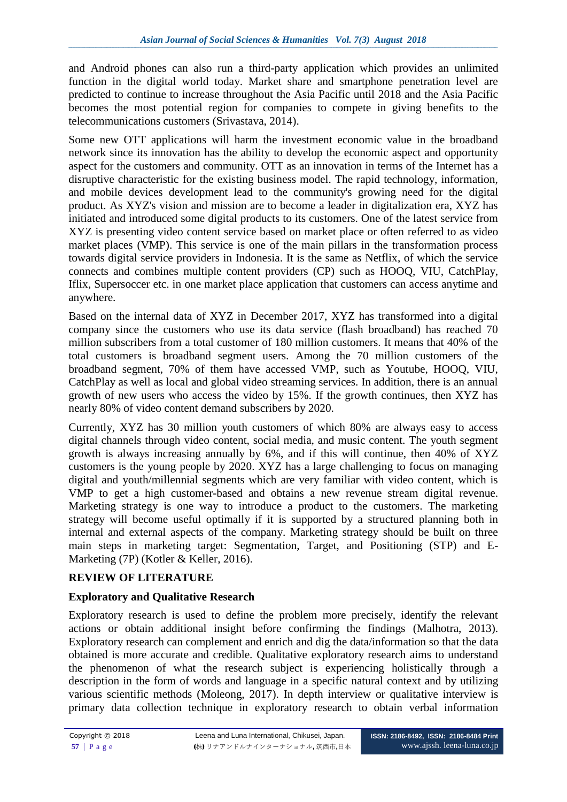and Android phones can also run a third-party application which provides an unlimited function in the digital world today. Market share and smartphone penetration level are predicted to continue to increase throughout the Asia Pacific until 2018 and the Asia Pacific becomes the most potential region for companies to compete in giving benefits to the telecommunications customers (Srivastava, 2014).

Some new OTT applications will harm the investment economic value in the broadband network since its innovation has the ability to develop the economic aspect and opportunity aspect for the customers and community. OTT as an innovation in terms of the Internet has a disruptive characteristic for the existing business model. The rapid technology, information, and mobile devices development lead to the community's growing need for the digital product. As XYZ's vision and mission are to become a leader in digitalization era, XYZ has initiated and introduced some digital products to its customers. One of the latest service from XYZ is presenting video content service based on market place or often referred to as video market places (VMP). This service is one of the main pillars in the transformation process towards digital service providers in Indonesia. It is the same as Netflix, of which the service connects and combines multiple content providers (CP) such as HOOQ, VIU, CatchPlay, Iflix, Supersoccer etc. in one market place application that customers can access anytime and anywhere.

Based on the internal data of XYZ in December 2017, XYZ has transformed into a digital company since the customers who use its data service (flash broadband) has reached 70 million subscribers from a total customer of 180 million customers. It means that 40% of the total customers is broadband segment users. Among the 70 million customers of the broadband segment, 70% of them have accessed VMP, such as Youtube, HOOQ, VIU, CatchPlay as well as local and global video streaming services. In addition, there is an annual growth of new users who access the video by 15%. If the growth continues, then XYZ has nearly 80% of video content demand subscribers by 2020.

Currently, XYZ has 30 million youth customers of which 80% are always easy to access digital channels through video content, social media, and music content. The youth segment growth is always increasing annually by 6%, and if this will continue, then 40% of XYZ customers is the young people by 2020. XYZ has a large challenging to focus on managing digital and youth/millennial segments which are very familiar with video content, which is VMP to get a high customer-based and obtains a new revenue stream digital revenue. Marketing strategy is one way to introduce a product to the customers. The marketing strategy will become useful optimally if it is supported by a structured planning both in internal and external aspects of the company. Marketing strategy should be built on three main steps in marketing target: Segmentation, Target, and Positioning (STP) and E-Marketing (7P) (Kotler & Keller, 2016).

# **REVIEW OF LITERATURE**

# **Exploratory and Qualitative Research**

Exploratory research is used to define the problem more precisely, identify the relevant actions or obtain additional insight before confirming the findings (Malhotra, 2013). Exploratory research can complement and enrich and dig the data/information so that the data obtained is more accurate and credible. Qualitative exploratory research aims to understand the phenomenon of what the research subject is experiencing holistically through a description in the form of words and language in a specific natural context and by utilizing various scientific methods (Moleong, 2017). In depth interview or qualitative interview is primary data collection technique in exploratory research to obtain verbal information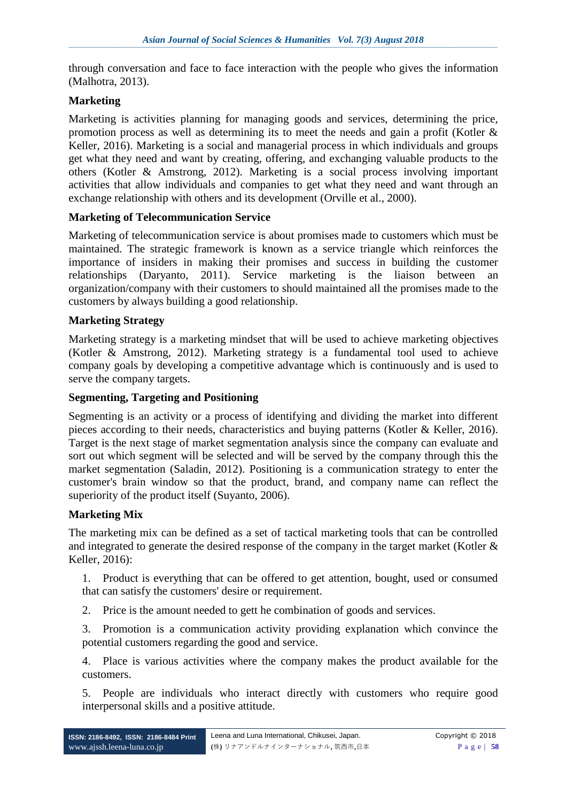through conversation and face to face interaction with the people who gives the information (Malhotra, 2013).

## **Marketing**

Marketing is activities planning for managing goods and services, determining the price, promotion process as well as determining its to meet the needs and gain a profit (Kotler & Keller, 2016). Marketing is a social and managerial process in which individuals and groups get what they need and want by creating, offering, and exchanging valuable products to the others (Kotler & Amstrong, 2012). Marketing is a social process involving important activities that allow individuals and companies to get what they need and want through an exchange relationship with others and its development (Orville et al., 2000).

#### **Marketing of Telecommunication Service**

Marketing of telecommunication service is about promises made to customers which must be maintained. The strategic framework is known as a service triangle which reinforces the importance of insiders in making their promises and success in building the customer relationships (Daryanto, 2011). Service marketing is the liaison between organization/company with their customers to should maintained all the promises made to the customers by always building a good relationship.

#### **Marketing Strategy**

Marketing strategy is a marketing mindset that will be used to achieve marketing objectives (Kotler & Amstrong, 2012). Marketing strategy is a fundamental tool used to achieve company goals by developing a competitive advantage which is continuously and is used to serve the company targets.

#### **Segmenting, Targeting and Positioning**

Segmenting is an activity or a process of identifying and dividing the market into different pieces according to their needs, characteristics and buying patterns (Kotler & Keller, 2016). Target is the next stage of market segmentation analysis since the company can evaluate and sort out which segment will be selected and will be served by the company through this the market segmentation (Saladin, 2012). Positioning is a communication strategy to enter the customer's brain window so that the product, brand, and company name can reflect the superiority of the product itself (Suyanto, 2006).

#### **Marketing Mix**

The marketing mix can be defined as a set of tactical marketing tools that can be controlled and integrated to generate the desired response of the company in the target market (Kotler & Keller, 2016):

1. Product is everything that can be offered to get attention, bought, used or consumed that can satisfy the customers' desire or requirement.

2. Price is the amount needed to gett he combination of goods and services.

3. Promotion is a communication activity providing explanation which convince the potential customers regarding the good and service.

4. Place is various activities where the company makes the product available for the customers.

5. People are individuals who interact directly with customers who require good interpersonal skills and a positive attitude.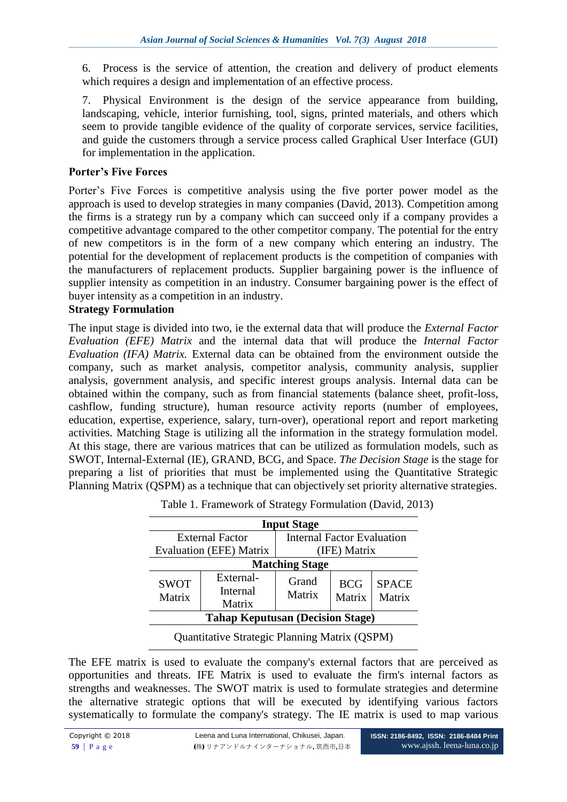6. Process is the service of attention, the creation and delivery of product elements which requires a design and implementation of an effective process.

7. Physical Environment is the design of the service appearance from building, landscaping, vehicle, interior furnishing, tool, signs, printed materials, and others which seem to provide tangible evidence of the quality of corporate services, service facilities, and guide the customers through a service process called Graphical User Interface (GUI) for implementation in the application.

## **Porter's Five Forces**

Porter's Five Forces is competitive analysis using the five porter power model as the approach is used to develop strategies in many companies (David, 2013). Competition among the firms is a strategy run by a company which can succeed only if a company provides a competitive advantage compared to the other competitor company. The potential for the entry of new competitors is in the form of a new company which entering an industry. The potential for the development of replacement products is the competition of companies with the manufacturers of replacement products. Supplier bargaining power is the influence of supplier intensity as competition in an industry. Consumer bargaining power is the effect of buyer intensity as a competition in an industry.

## **Strategy Formulation**

The input stage is divided into two, ie the external data that will produce the *External Factor Evaluation (EFE) Matrix* and the internal data that will produce the *Internal Factor Evaluation (IFA) Matrix.* External data can be obtained from the environment outside the company, such as market analysis, competitor analysis, community analysis, supplier analysis, government analysis, and specific interest groups analysis. Internal data can be obtained within the company, such as from financial statements (balance sheet, profit-loss, cashflow, funding structure), human resource activity reports (number of employees, education, expertise, experience, salary, turn-over), operational report and report marketing activities. Matching Stage is utilizing all the information in the strategy formulation model. At this stage, there are various matrices that can be utilized as formulation models, such as SWOT, Internal-External (IE), GRAND, BCG, and Space. *The Decision Stage* is the stage for preparing a list of priorities that must be implemented using the Quantitative Strategic Planning Matrix (QSPM) as a technique that can objectively set priority alternative strategies.

| <b>Input Stage</b>                      |                                 |                                   |                      |                        |
|-----------------------------------------|---------------------------------|-----------------------------------|----------------------|------------------------|
| <b>External Factor</b>                  |                                 | <b>Internal Factor Evaluation</b> |                      |                        |
| <b>Evaluation (EFE) Matrix</b>          |                                 | (IFE) Matrix                      |                      |                        |
| <b>Matching Stage</b>                   |                                 |                                   |                      |                        |
| <b>SWOT</b><br>Matrix                   | External-<br>Internal<br>Matrix | Grand<br>Matrix                   | <b>BCG</b><br>Matrix | <b>SPACE</b><br>Matrix |
| <b>Tahap Keputusan (Decision Stage)</b> |                                 |                                   |                      |                        |
| $\sim$<br>$\sim$ $\sim$ $\sim$ $\sim$   |                                 |                                   |                      |                        |

Table 1. Framework of Strategy Formulation (David, 2013)

Quantitative Strategic Planning Matrix (QSPM)

The EFE matrix is used to evaluate the company's external factors that are perceived as opportunities and threats. IFE Matrix is used to evaluate the firm's internal factors as strengths and weaknesses. The SWOT matrix is used to formulate strategies and determine the alternative strategic options that will be executed by identifying various factors systematically to formulate the company's strategy. The IE matrix is used to map various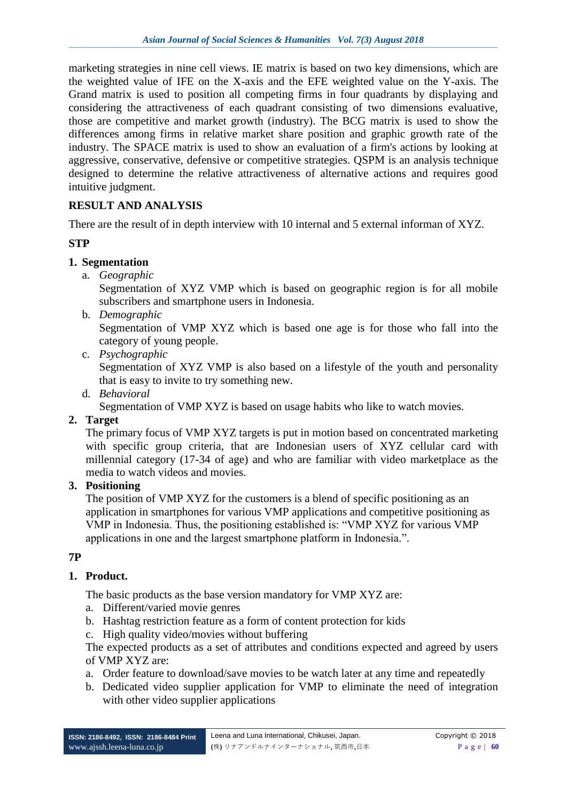marketing strategies in nine cell views. IE matrix is based on two key dimensions, which are the weighted value of IFE on the X-axis and the EFE weighted value on the Y-axis. The Grand matrix is used to position all competing firms in four quadrants by displaying and considering the attractiveness of each quadrant consisting of two dimensions evaluative, those are competitive and market growth (industry). The BCG matrix is used to show the differences among firms in relative market share position and graphic growth rate of the industry. The SPACE matrix is used to show an evaluation of a firm's actions by looking at aggressive, conservative, defensive or competitive strategies. QSPM is an analysis technique designed to determine the relative attractiveness of alternative actions and requires good intuitive judgment.

## **RESULT AND ANALYSIS**

There are the result of in depth interview with 10 internal and 5 external informan of XYZ.

#### **STP**

#### **1. Segmentation**

a. *Geographic*

Segmentation of XYZ VMP which is based on geographic region is for all mobile subscribers and smartphone users in Indonesia.

b. *Demographic*

Segmentation of VMP XYZ which is based one age is for those who fall into the category of young people.

c. *Psychographic*

Segmentation of XYZ VMP is also based on a lifestyle of the youth and personality that is easy to invite to try something new.

d. *Behavioral*

Segmentation of VMP XYZ is based on usage habits who like to watch movies.

#### **2. Target**

The primary focus of VMP XYZ targets is put in motion based on concentrated marketing with specific group criteria, that are Indonesian users of XYZ cellular card with millennial category (17-34 of age) and who are familiar with video marketplace as the media to watch videos and movies.

### **3. Positioning**

The position of VMP XYZ for the customers is a blend of specific positioning as an application in smartphones for various VMP applications and competitive positioning as VMP in Indonesia. Thus, the positioning established is: "VMP XYZ for various VMP applications in one and the largest smartphone platform in Indonesia.".

#### **7P**

#### **1. Product.**

The basic products as the base version mandatory for VMP XYZ are:

- a. Different/varied movie genres
- b. Hashtag restriction feature as a form of content protection for kids
- c. High quality video/movies without buffering

The expected products as a set of attributes and conditions expected and agreed by users of VMP XYZ are:

- a. Order feature to download/save movies to be watch later at any time and repeatedly
- b. Dedicated video supplier application for VMP to eliminate the need of integration with other video supplier applications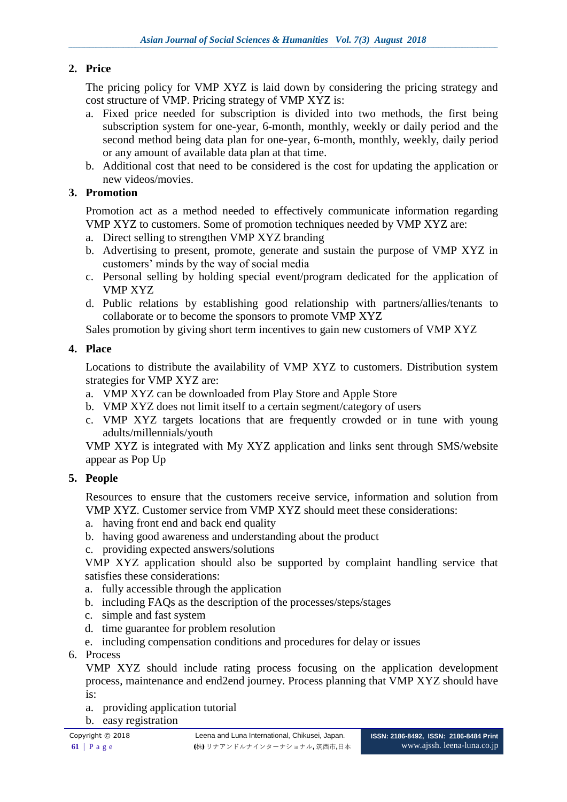# **2. Price**

The pricing policy for VMP XYZ is laid down by considering the pricing strategy and cost structure of VMP. Pricing strategy of VMP XYZ is:

- a. Fixed price needed for subscription is divided into two methods, the first being subscription system for one-year, 6-month, monthly, weekly or daily period and the second method being data plan for one-year, 6-month, monthly, weekly, daily period or any amount of available data plan at that time.
- b. Additional cost that need to be considered is the cost for updating the application or new videos/movies.

# **3. Promotion**

Promotion act as a method needed to effectively communicate information regarding VMP XYZ to customers. Some of promotion techniques needed by VMP XYZ are:

- a. Direct selling to strengthen VMP XYZ branding
- b. Advertising to present, promote, generate and sustain the purpose of VMP XYZ in customers' minds by the way of social media
- c. Personal selling by holding special event/program dedicated for the application of VMP XYZ
- d. Public relations by establishing good relationship with partners/allies/tenants to collaborate or to become the sponsors to promote VMP XYZ

Sales promotion by giving short term incentives to gain new customers of VMP XYZ

# **4. Place**

Locations to distribute the availability of VMP XYZ to customers. Distribution system strategies for VMP XYZ are:

- a. VMP XYZ can be downloaded from Play Store and Apple Store
- b. VMP XYZ does not limit itself to a certain segment/category of users
- c. VMP XYZ targets locations that are frequently crowded or in tune with young adults/millennials/youth

VMP XYZ is integrated with My XYZ application and links sent through SMS/website appear as Pop Up

# **5. People**

Resources to ensure that the customers receive service, information and solution from VMP XYZ. Customer service from VMP XYZ should meet these considerations:

- a. having front end and back end quality
- b. having good awareness and understanding about the product
- c. providing expected answers/solutions

VMP XYZ application should also be supported by complaint handling service that satisfies these considerations:

- a. fully accessible through the application
- b. including FAQs as the description of the processes/steps/stages
- c. simple and fast system
- d. time guarantee for problem resolution
- e. including compensation conditions and procedures for delay or issues
- 6. Process

VMP XYZ should include rating process focusing on the application development process, maintenance and end2end journey. Process planning that VMP XYZ should have is:

- a. providing application tutorial
- b. easy registration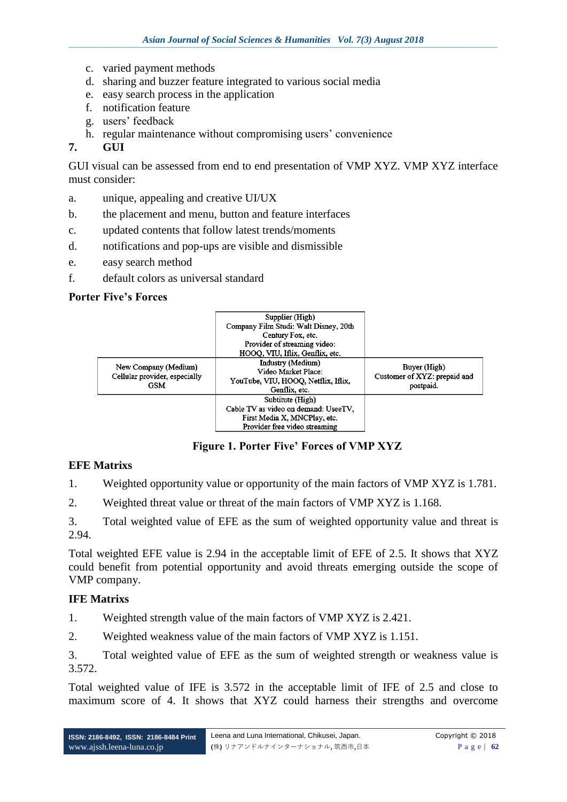- c. varied payment methods
- d. sharing and buzzer feature integrated to various social media
- e. easy search process in the application
- f. notification feature
- g. users' feedback
- h. regular maintenance without compromising users' convenience

## **7. GUI**

GUI visual can be assessed from end to end presentation of VMP XYZ. VMP XYZ interface must consider:

- a. unique, appealing and creative UI/UX
- b. the placement and menu, button and feature interfaces
- c. updated contents that follow latest trends/moments
- d. notifications and pop-ups are visible and dismissible
- e. easy search method
- f. default colors as universal standard

## **Porter Five's Forces**



**Figure 1. Porter Five' Forces of VMP XYZ**

# **EFE Matrixs**

1. Weighted opportunity value or opportunity of the main factors of VMP XYZ is 1.781.

2. Weighted threat value or threat of the main factors of VMP XYZ is 1.168.

3. Total weighted value of EFE as the sum of weighted opportunity value and threat is 2.94.

Total weighted EFE value is 2.94 in the acceptable limit of EFE of 2.5. It shows that XYZ could benefit from potential opportunity and avoid threats emerging outside the scope of VMP company.

#### **IFE Matrixs**

1. Weighted strength value of the main factors of VMP XYZ is 2.421.

2. Weighted weakness value of the main factors of VMP XYZ is 1.151.

3. Total weighted value of EFE as the sum of weighted strength or weakness value is 3.572.

Total weighted value of IFE is 3.572 in the acceptable limit of IFE of 2.5 and close to maximum score of 4. It shows that XYZ could harness their strengths and overcome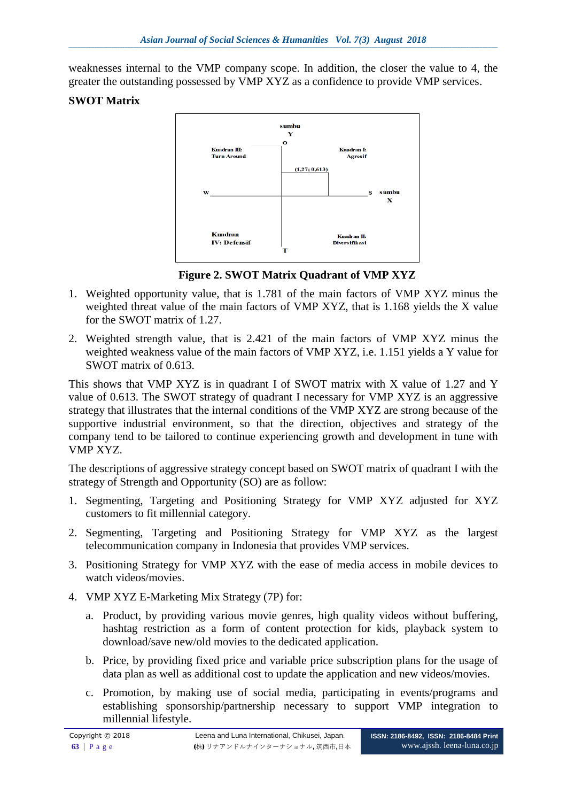weaknesses internal to the VMP company scope. In addition, the closer the value to 4, the greater the outstanding possessed by VMP XYZ as a confidence to provide VMP services.

# **SWOT Matrix**



**Figure 2. SWOT Matrix Quadrant of VMP XYZ** 

- 1. Weighted opportunity value, that is 1.781 of the main factors of VMP XYZ minus the weighted threat value of the main factors of VMP XYZ, that is 1.168 yields the X value for the SWOT matrix of 1.27.
- 2. Weighted strength value, that is 2.421 of the main factors of VMP XYZ minus the weighted weakness value of the main factors of VMP XYZ, i.e. 1.151 yields a Y value for SWOT matrix of 0.613.

This shows that VMP XYZ is in quadrant I of SWOT matrix with X value of 1.27 and Y value of 0.613. The SWOT strategy of quadrant I necessary for VMP XYZ is an aggressive strategy that illustrates that the internal conditions of the VMP XYZ are strong because of the supportive industrial environment, so that the direction, objectives and strategy of the company tend to be tailored to continue experiencing growth and development in tune with VMP XYZ.

The descriptions of aggressive strategy concept based on SWOT matrix of quadrant I with the strategy of Strength and Opportunity (SO) are as follow:

- 1. Segmenting, Targeting and Positioning Strategy for VMP XYZ adjusted for XYZ customers to fit millennial category.
- 2. Segmenting, Targeting and Positioning Strategy for VMP XYZ as the largest telecommunication company in Indonesia that provides VMP services.
- 3. Positioning Strategy for VMP XYZ with the ease of media access in mobile devices to watch videos/movies.
- 4. VMP XYZ E-Marketing Mix Strategy (7P) for:
	- a. Product, by providing various movie genres, high quality videos without buffering, hashtag restriction as a form of content protection for kids, playback system to download/save new/old movies to the dedicated application.
	- b. Price, by providing fixed price and variable price subscription plans for the usage of data plan as well as additional cost to update the application and new videos/movies.
	- c. Promotion, by making use of social media, participating in events/programs and establishing sponsorship/partnership necessary to support VMP integration to millennial lifestyle.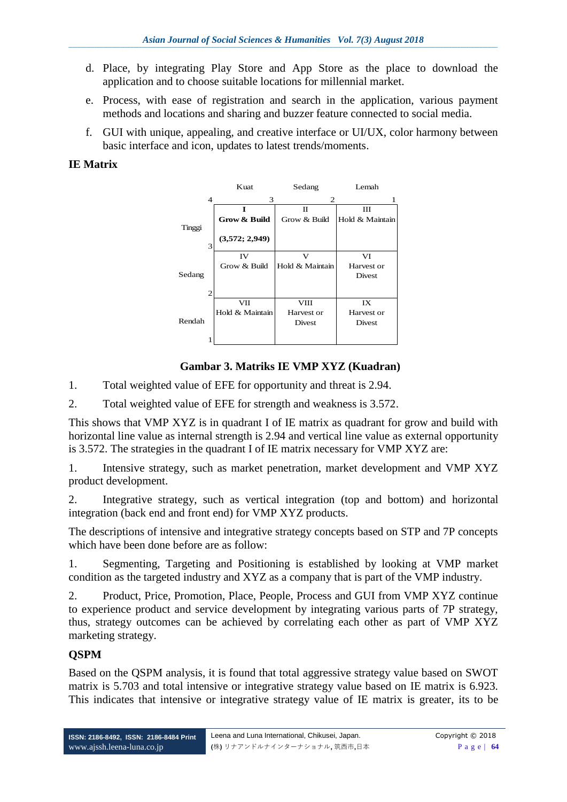- d. Place, by integrating Play Store and App Store as the place to download the application and to choose suitable locations for millennial market.
- e. Process, with ease of registration and search in the application, various payment methods and locations and sharing and buzzer feature connected to social media.
- f. GUI with unique, appealing, and creative interface or UI/UX, color harmony between basic interface and icon, updates to latest trends/moments.

## **IE Matrix**



## **Gambar 3. Matriks IE VMP XYZ (Kuadran)**

1. Total weighted value of EFE for opportunity and threat is 2.94.

2. Total weighted value of EFE for strength and weakness is 3.572.

This shows that VMP XYZ is in quadrant I of IE matrix as quadrant for grow and build with horizontal line value as internal strength is 2.94 and vertical line value as external opportunity is 3.572. The strategies in the quadrant I of IE matrix necessary for VMP XYZ are:

1. Intensive strategy, such as market penetration, market development and VMP XYZ product development.

2. Integrative strategy, such as vertical integration (top and bottom) and horizontal integration (back end and front end) for VMP XYZ products.

The descriptions of intensive and integrative strategy concepts based on STP and 7P concepts which have been done before are as follow:

1. Segmenting, Targeting and Positioning is established by looking at VMP market condition as the targeted industry and XYZ as a company that is part of the VMP industry.

2. Product, Price, Promotion, Place, People, Process and GUI from VMP XYZ continue to experience product and service development by integrating various parts of 7P strategy, thus, strategy outcomes can be achieved by correlating each other as part of VMP XYZ marketing strategy.

# **QSPM**

Based on the QSPM analysis, it is found that total aggressive strategy value based on SWOT matrix is 5.703 and total intensive or integrative strategy value based on IE matrix is 6.923. This indicates that intensive or integrative strategy value of IE matrix is greater, its to be